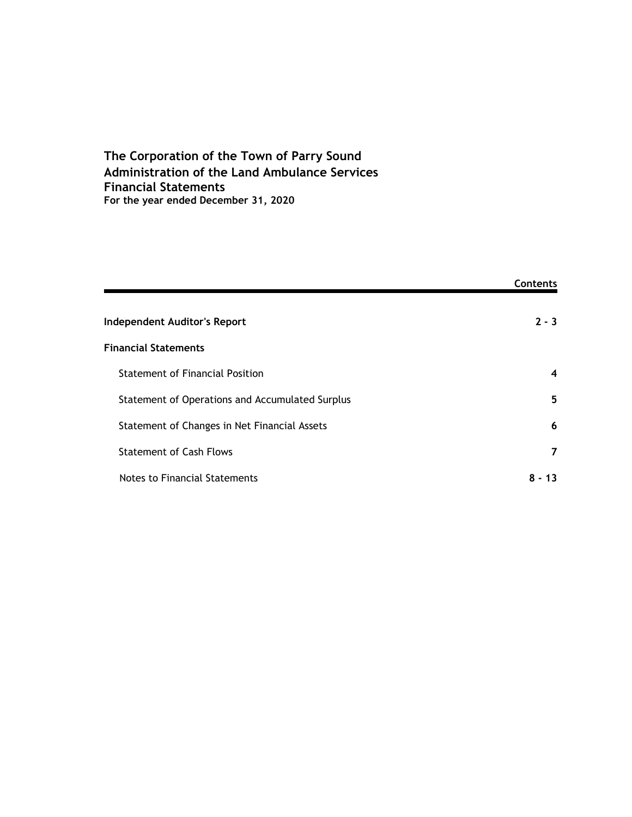## **The Corporation of the Town of Parry Sound Administration of the Land Ambulance Services Financial Statements For the year ended December 31, 2020**

|                                                 | <b>Contents</b> |
|-------------------------------------------------|-----------------|
|                                                 |                 |
| <b>Independent Auditor's Report</b>             | $2 - 3$         |
| <b>Financial Statements</b>                     |                 |
| <b>Statement of Financial Position</b>          | 4               |
| Statement of Operations and Accumulated Surplus | 5.              |
| Statement of Changes in Net Financial Assets    | 6               |
| <b>Statement of Cash Flows</b>                  | 7               |
| Notes to Financial Statements                   | $8 - 13$        |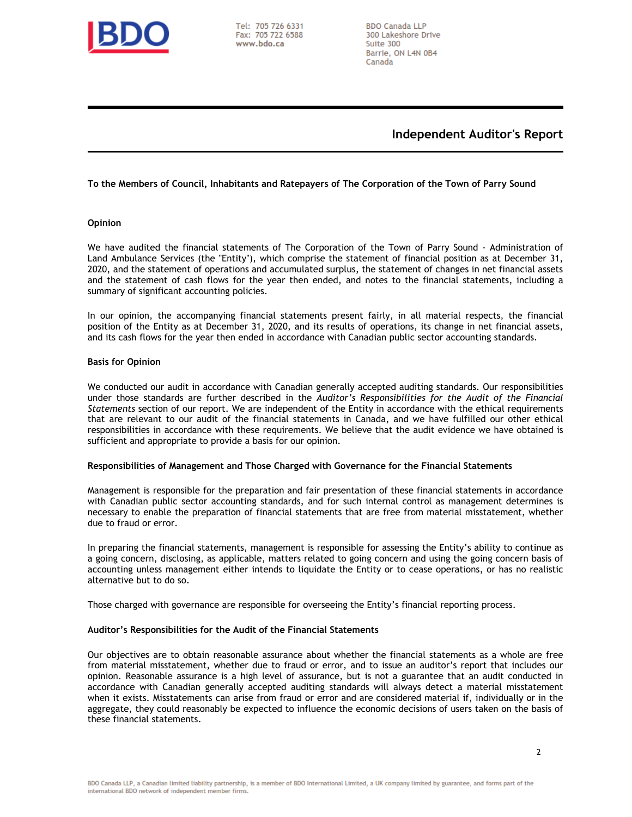

Tel: 705 726 6331 Fax: 705 722 6588 www.bdo.ca

**BDO Canada LLP** 300 Lakeshore Drive Suite 300 Barrie, ON L4N 0B4 Canada

### **Independent Auditor's Report**

#### **To the Members of Council, Inhabitants and Ratepayers of The Corporation of the Town of Parry Sound**

#### **Opinion**

We have audited the financial statements of The Corporation of the Town of Parry Sound - Administration of Land Ambulance Services (the "Entity"), which comprise the statement of financial position as at December 31, 2020, and the statement of operations and accumulated surplus, the statement of changes in net financial assets and the statement of cash flows for the year then ended, and notes to the financial statements, including a summary of significant accounting policies.

In our opinion, the accompanying financial statements present fairly, in all material respects, the financial position of the Entity as at December 31, 2020, and its results of operations, its change in net financial assets, and its cash flows for the year then ended in accordance with Canadian public sector accounting standards.

#### **Basis for Opinion**

We conducted our audit in accordance with Canadian generally accepted auditing standards. Our responsibilities under those standards are further described in the *Auditor's Responsibilities for the Audit of the Financial Statements* section of our report. We are independent of the Entity in accordance with the ethical requirements that are relevant to our audit of the financial statements in Canada, and we have fulfilled our other ethical responsibilities in accordance with these requirements. We believe that the audit evidence we have obtained is sufficient and appropriate to provide a basis for our opinion.

#### **Responsibilities of Management and Those Charged with Governance for the Financial Statements**

Management is responsible for the preparation and fair presentation of these financial statements in accordance with Canadian public sector accounting standards, and for such internal control as management determines is necessary to enable the preparation of financial statements that are free from material misstatement, whether due to fraud or error.

In preparing the financial statements, management is responsible for assessing the Entity's ability to continue as a going concern, disclosing, as applicable, matters related to going concern and using the going concern basis of accounting unless management either intends to liquidate the Entity or to cease operations, or has no realistic alternative but to do so.

Those charged with governance are responsible for overseeing the Entity's financial reporting process.

#### **Auditor's Responsibilities for the Audit of the Financial Statements**

Our objectives are to obtain reasonable assurance about whether the financial statements as a whole are free from material misstatement, whether due to fraud or error, and to issue an auditor's report that includes our opinion. Reasonable assurance is a high level of assurance, but is not a guarantee that an audit conducted in accordance with Canadian generally accepted auditing standards will always detect a material misstatement when it exists. Misstatements can arise from fraud or error and are considered material if, individually or in the aggregate, they could reasonably be expected to influence the economic decisions of users taken on the basis of these financial statements.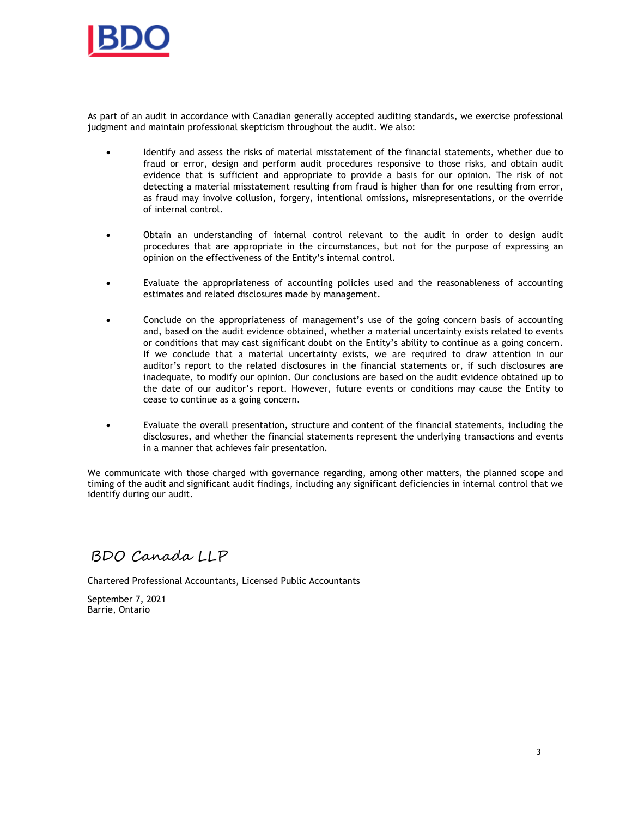

As part of an audit in accordance with Canadian generally accepted auditing standards, we exercise professional judgment and maintain professional skepticism throughout the audit. We also:

- Identify and assess the risks of material misstatement of the financial statements, whether due to fraud or error, design and perform audit procedures responsive to those risks, and obtain audit evidence that is sufficient and appropriate to provide a basis for our opinion. The risk of not detecting a material misstatement resulting from fraud is higher than for one resulting from error, as fraud may involve collusion, forgery, intentional omissions, misrepresentations, or the override of internal control.
- Obtain an understanding of internal control relevant to the audit in order to design audit procedures that are appropriate in the circumstances, but not for the purpose of expressing an opinion on the effectiveness of the Entity's internal control.
- Evaluate the appropriateness of accounting policies used and the reasonableness of accounting estimates and related disclosures made by management.
- Conclude on the appropriateness of management's use of the going concern basis of accounting and, based on the audit evidence obtained, whether a material uncertainty exists related to events or conditions that may cast significant doubt on the Entity's ability to continue as a going concern. If we conclude that a material uncertainty exists, we are required to draw attention in our auditor's report to the related disclosures in the financial statements or, if such disclosures are inadequate, to modify our opinion. Our conclusions are based on the audit evidence obtained up to the date of our auditor's report. However, future events or conditions may cause the Entity to cease to continue as a going concern.
- Evaluate the overall presentation, structure and content of the financial statements, including the disclosures, and whether the financial statements represent the underlying transactions and events in a manner that achieves fair presentation.

We communicate with those charged with governance regarding, among other matters, the planned scope and timing of the audit and significant audit findings, including any significant deficiencies in internal control that we identify during our audit.

BDO Canada LLP

Chartered Professional Accountants, Licensed Public Accountants

September 7, 2021 Barrie, Ontario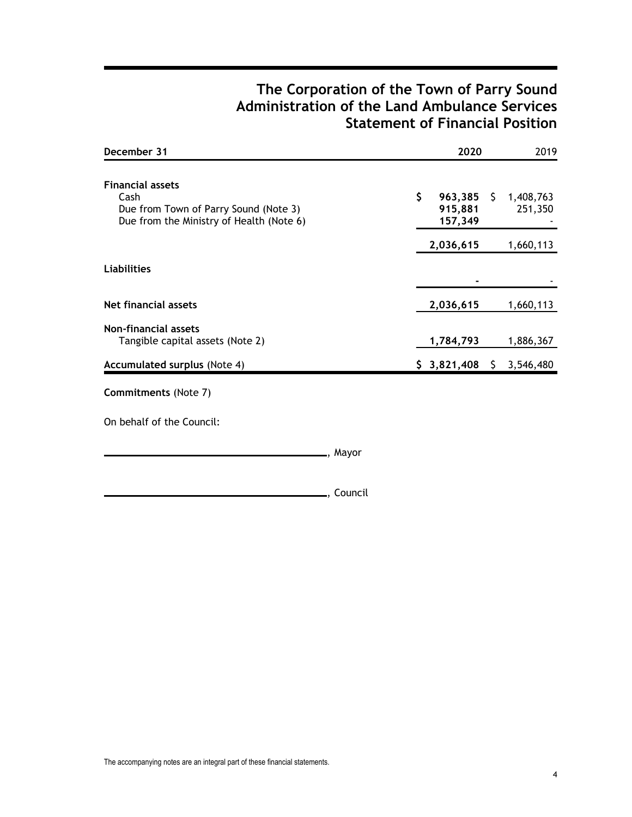# **The Corporation of the Town of Parry Sound Administration of the Land Ambulance Services Statement of Financial Position**

| December 31                                                                                                          | 2020                                |    | 2019                 |  |  |
|----------------------------------------------------------------------------------------------------------------------|-------------------------------------|----|----------------------|--|--|
| <b>Financial assets</b><br>Cash<br>Due from Town of Parry Sound (Note 3)<br>Due from the Ministry of Health (Note 6) | \$<br>963,385<br>915,881<br>157,349 | S. | 1,408,763<br>251,350 |  |  |
|                                                                                                                      | 2,036,615                           |    | 1,660,113            |  |  |
| <b>Liabilities</b>                                                                                                   |                                     |    |                      |  |  |
| Net financial assets                                                                                                 | 2,036,615                           |    | 1,660,113            |  |  |
| Non-financial assets<br>Tangible capital assets (Note 2)                                                             | 1,784,793                           |    | 1,886,367            |  |  |
| Accumulated surplus (Note 4)                                                                                         | \$3,821,408                         | S. | 3,546,480            |  |  |
| <b>Commitments (Note 7)</b>                                                                                          |                                     |    |                      |  |  |
| On behalf of the Council:                                                                                            |                                     |    |                      |  |  |
| Mayor                                                                                                                |                                     |    |                      |  |  |

, Mayor

Louncil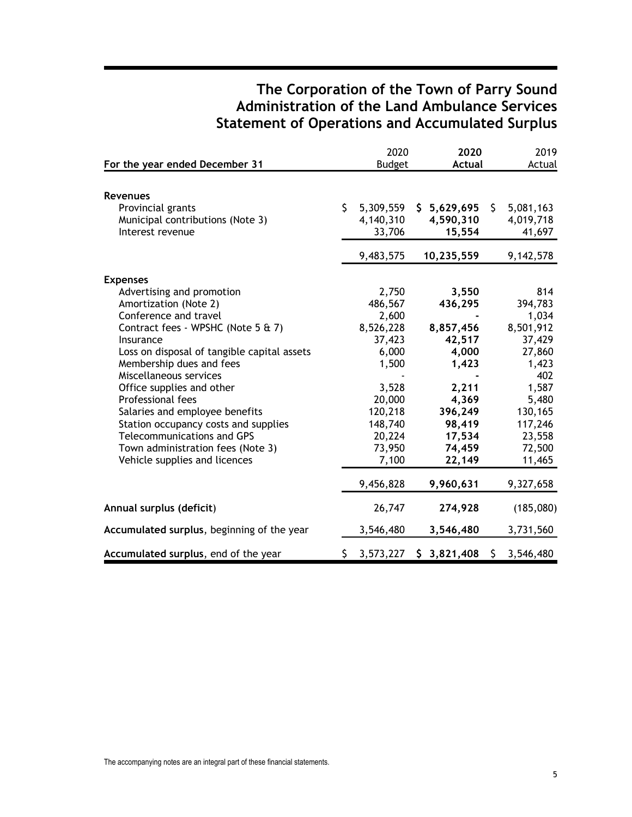# **The Corporation of the Town of Parry Sound Administration of the Land Ambulance Services Statement of Operations and Accumulated Surplus**

|                                              |    | 2020          |  | 2020          |     | 2019      |  |
|----------------------------------------------|----|---------------|--|---------------|-----|-----------|--|
| For the year ended December 31               |    | <b>Budget</b> |  | <b>Actual</b> |     | Actual    |  |
| <b>Revenues</b>                              |    |               |  |               |     |           |  |
| Provincial grants                            | Š. | 5,309,559     |  | \$5,629,695   | \$. | 5,081,163 |  |
| Municipal contributions (Note 3)             |    | 4,140,310     |  | 4,590,310     |     | 4,019,718 |  |
| Interest revenue                             |    | 33,706        |  | 15,554        |     | 41,697    |  |
|                                              |    | 9,483,575     |  | 10,235,559    |     | 9,142,578 |  |
|                                              |    |               |  |               |     |           |  |
| <b>Expenses</b><br>Advertising and promotion |    | 2,750         |  | 3,550         |     | 814       |  |
| Amortization (Note 2)                        |    | 486,567       |  | 436,295       |     | 394,783   |  |
| Conference and travel                        |    | 2,600         |  |               |     | 1,034     |  |
| Contract fees - WPSHC (Note 5 & 7)           |    | 8,526,228     |  | 8,857,456     |     | 8,501,912 |  |
| Insurance                                    |    | 37,423        |  | 42,517        |     | 37,429    |  |
| Loss on disposal of tangible capital assets  |    | 6,000         |  | 4,000         |     | 27,860    |  |
| Membership dues and fees                     |    | 1,500         |  | 1,423         |     | 1,423     |  |
| Miscellaneous services                       |    |               |  |               |     | 402       |  |
| Office supplies and other                    |    | 3,528         |  | 2,211         |     | 1,587     |  |
| Professional fees                            |    | 20,000        |  | 4,369         |     | 5,480     |  |
| Salaries and employee benefits               |    | 120,218       |  | 396,249       |     | 130,165   |  |
| Station occupancy costs and supplies         |    | 148,740       |  | 98,419        |     | 117,246   |  |
| <b>Telecommunications and GPS</b>            |    | 20,224        |  | 17,534        |     | 23,558    |  |
| Town administration fees (Note 3)            |    | 73,950        |  | 74,459        |     | 72,500    |  |
| Vehicle supplies and licences                |    | 7,100         |  | 22,149        |     | 11,465    |  |
|                                              |    | 9,456,828     |  | 9,960,631     |     | 9,327,658 |  |
| Annual surplus (deficit)                     |    | 26,747        |  | 274,928       |     | (185,080) |  |
| Accumulated surplus, beginning of the year   |    | 3,546,480     |  | 3,546,480     |     | 3,731,560 |  |
| Accumulated surplus, end of the year         |    | \$3,573,227   |  | \$3,821,408   | \$. | 3,546,480 |  |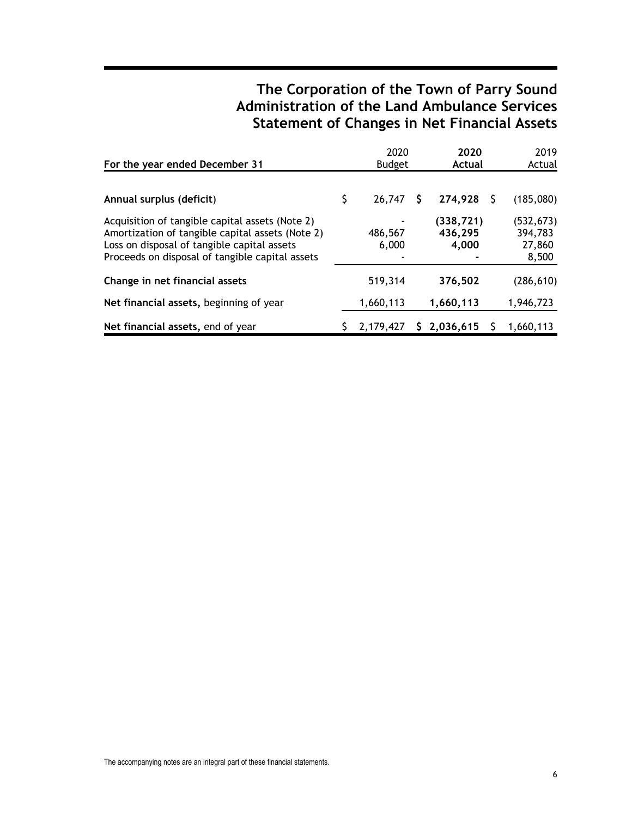# **The Corporation of the Town of Parry Sound Administration of the Land Ambulance Services Statement of Changes in Net Financial Assets**

| For the year ended December 31                                                                                                                                                                        | 2020<br><b>Budget</b> | 2020<br>Actual | 2019<br>Actual                 |                |                                          |
|-------------------------------------------------------------------------------------------------------------------------------------------------------------------------------------------------------|-----------------------|----------------|--------------------------------|----------------|------------------------------------------|
| Annual surplus (deficit)                                                                                                                                                                              | \$<br>$26,747$ \$     |                | 274,928                        | $\ddot{\zeta}$ | (185,080)                                |
| Acquisition of tangible capital assets (Note 2)<br>Amortization of tangible capital assets (Note 2)<br>Loss on disposal of tangible capital assets<br>Proceeds on disposal of tangible capital assets | 486,567<br>6,000      |                | (338, 721)<br>436,295<br>4,000 |                | (532, 673)<br>394,783<br>27,860<br>8,500 |
| Change in net financial assets                                                                                                                                                                        | 519,314               |                | 376,502                        |                | (286, 610)                               |
| Net financial assets, beginning of year                                                                                                                                                               | 1,660,113             |                | 1,660,113                      |                | 1,946,723                                |
| Net financial assets, end of year                                                                                                                                                                     | 2.179.427             |                | \$2,036,615                    |                | 1,660,113                                |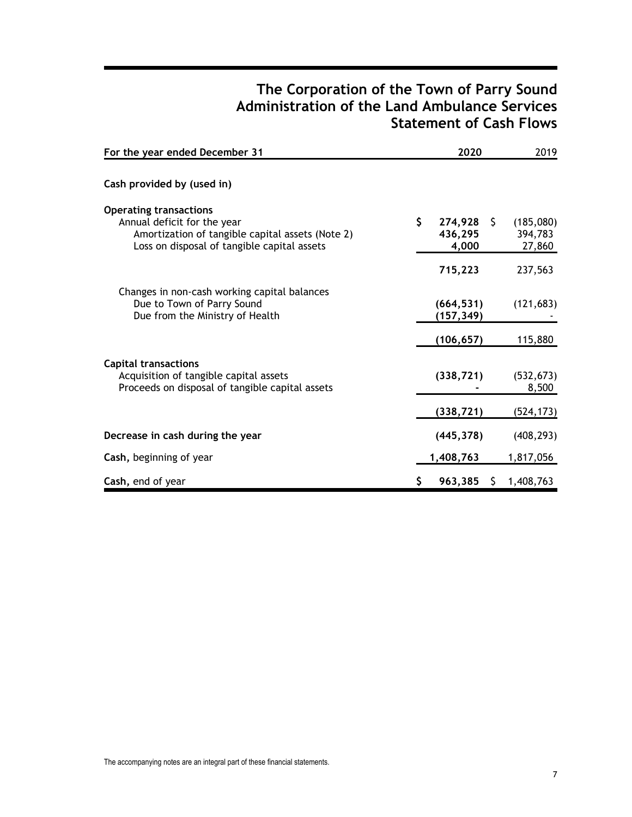## **The Corporation of the Town of Parry Sound Administration of the Land Ambulance Services Statement of Cash Flows**

| For the year ended December 31                                                                                                                                  |    | 2020                              | 2019                           |
|-----------------------------------------------------------------------------------------------------------------------------------------------------------------|----|-----------------------------------|--------------------------------|
| Cash provided by (used in)                                                                                                                                      |    |                                   |                                |
| <b>Operating transactions</b><br>Annual deficit for the year<br>Amortization of tangible capital assets (Note 2)<br>Loss on disposal of tangible capital assets | \$ | 274,928<br>S.<br>436,295<br>4,000 | (185,080)<br>394,783<br>27,860 |
|                                                                                                                                                                 |    | 715,223                           | 237,563                        |
| Changes in non-cash working capital balances<br>Due to Town of Parry Sound<br>Due from the Ministry of Health                                                   |    | (664, 531)<br>(157, 349)          | (121, 683)                     |
|                                                                                                                                                                 |    | (106, 657)                        | 115,880                        |
| <b>Capital transactions</b><br>Acquisition of tangible capital assets<br>Proceeds on disposal of tangible capital assets                                        |    | (338, 721)                        | (532, 673)<br>8,500            |
|                                                                                                                                                                 |    | (338, 721)                        | (524,173)                      |
| Decrease in cash during the year                                                                                                                                |    | (445, 378)                        | (408, 293)                     |
| Cash, beginning of year                                                                                                                                         |    | 1,408,763                         | 1,817,056                      |
| Cash, end of year                                                                                                                                               | S  | 963,385<br>S.                     | 1,408,763                      |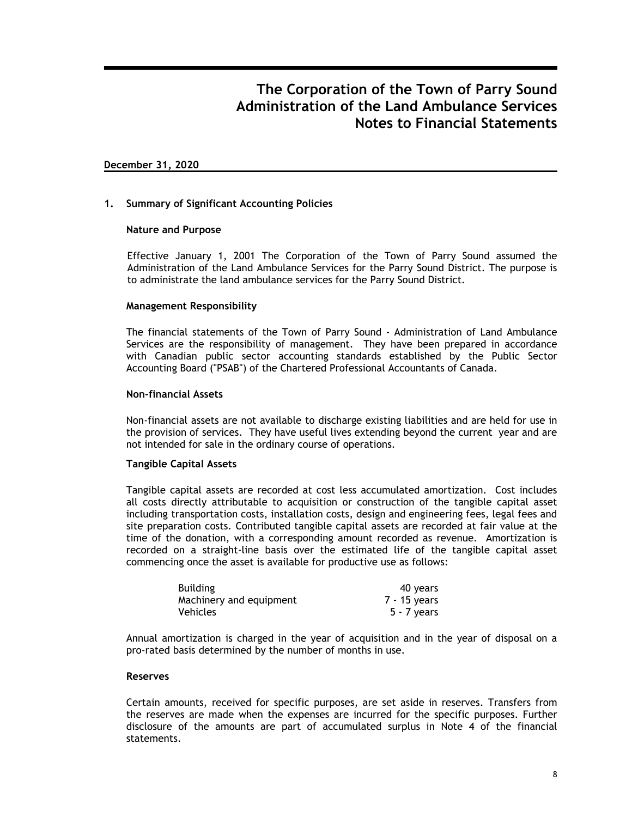#### **December 31, 2020**

#### **1. Summary of Significant Accounting Policies**

#### **Nature and Purpose**

Effective January 1, 2001 The Corporation of the Town of Parry Sound assumed the Administration of the Land Ambulance Services for the Parry Sound District. The purpose is to administrate the land ambulance services for the Parry Sound District.

#### **Management Responsibility**

The financial statements of the Town of Parry Sound - Administration of Land Ambulance Services are the responsibility of management. They have been prepared in accordance with Canadian public sector accounting standards established by the Public Sector Accounting Board ("PSAB") of the Chartered Professional Accountants of Canada.

#### **Non-financial Assets**

Non-financial assets are not available to discharge existing liabilities and are held for use in the provision of services. They have useful lives extending beyond the current year and are not intended for sale in the ordinary course of operations.

#### **Tangible Capital Assets**

Tangible capital assets are recorded at cost less accumulated amortization. Cost includes all costs directly attributable to acquisition or construction of the tangible capital asset including transportation costs, installation costs, design and engineering fees, legal fees and site preparation costs. Contributed tangible capital assets are recorded at fair value at the time of the donation, with a corresponding amount recorded as revenue. Amortization is recorded on a straight-line basis over the estimated life of the tangible capital asset commencing once the asset is available for productive use as follows:

| <b>Building</b>         | 40 years      |
|-------------------------|---------------|
| Machinery and equipment | 7 - 15 years  |
| Vehicles                | $5 - 7$ years |

Annual amortization is charged in the year of acquisition and in the year of disposal on a pro-rated basis determined by the number of months in use.

#### **Reserves**

Certain amounts, received for specific purposes, are set aside in reserves. Transfers from the reserves are made when the expenses are incurred for the specific purposes. Further disclosure of the amounts are part of accumulated surplus in Note 4 of the financial statements.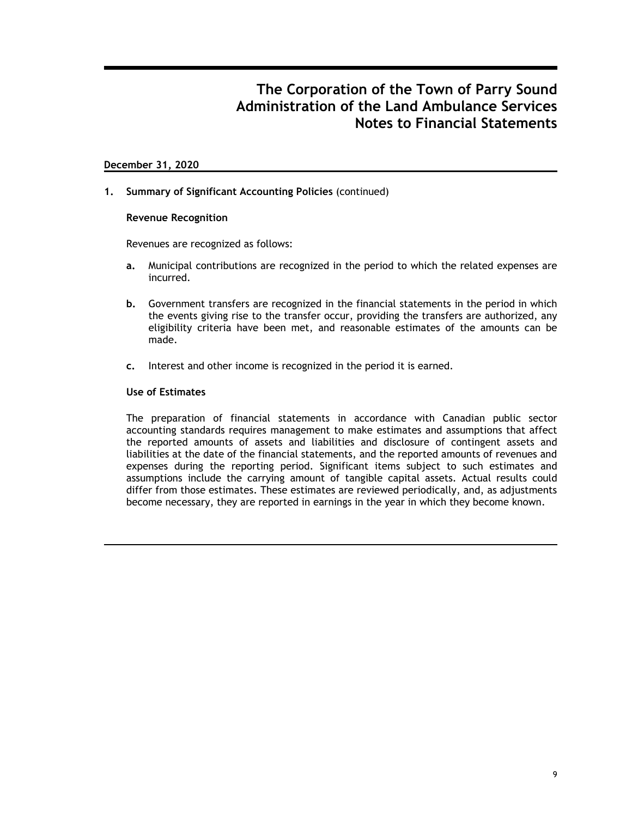### **December 31, 2020**

### **1. Summary of Significant Accounting Policies** (continued)

### **Revenue Recognition**

Revenues are recognized as follows:

- **a.** Municipal contributions are recognized in the period to which the related expenses are incurred.
- **b.** Government transfers are recognized in the financial statements in the period in which the events giving rise to the transfer occur, providing the transfers are authorized, any eligibility criteria have been met, and reasonable estimates of the amounts can be made.
- **c.** Interest and other income is recognized in the period it is earned.

### **Use of Estimates**

The preparation of financial statements in accordance with Canadian public sector accounting standards requires management to make estimates and assumptions that affect the reported amounts of assets and liabilities and disclosure of contingent assets and liabilities at the date of the financial statements, and the reported amounts of revenues and expenses during the reporting period. Significant items subject to such estimates and assumptions include the carrying amount of tangible capital assets. Actual results could differ from those estimates. These estimates are reviewed periodically, and, as adjustments become necessary, they are reported in earnings in the year in which they become known.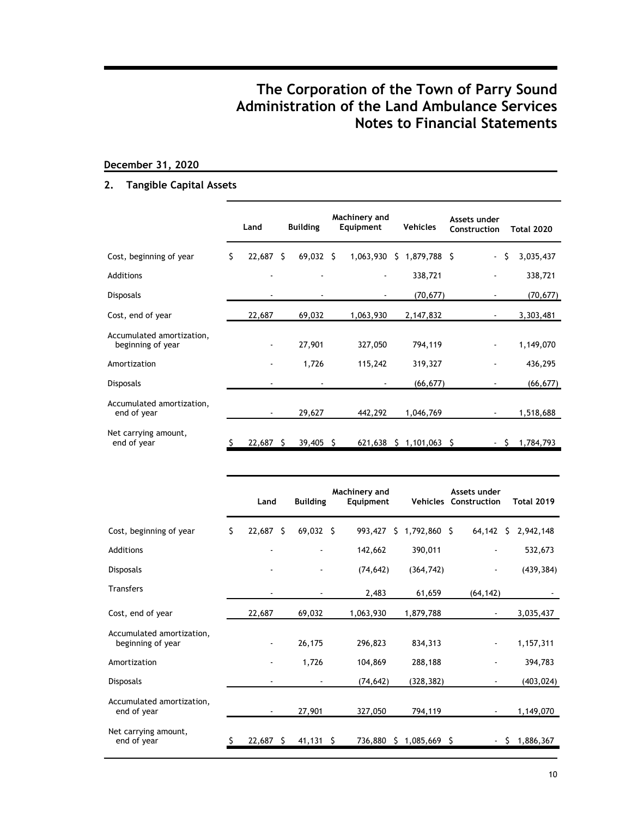## **December 31, 2020**

## **2. Tangible Capital Assets**

|                                                | Land           |     | <b>Building</b> | Machinery and<br>Equipment | <b>Vehicles</b>           | Assets under<br>Construction |    | <b>Total 2020</b> |
|------------------------------------------------|----------------|-----|-----------------|----------------------------|---------------------------|------------------------------|----|-------------------|
| Cost, beginning of year                        | \$<br>22,687   | \$. | $69,032$ \$     |                            | 1,063,930 \$ 1,879,788 \$ | $\blacksquare$               | Ŝ. | 3,035,437         |
| Additions                                      |                |     |                 |                            | 338,721                   |                              |    | 338,721           |
| <b>Disposals</b>                               |                |     |                 |                            | (70, 677)                 |                              |    | (70, 677)         |
| Cost, end of year                              | 22,687         |     | 69,032          | 1,063,930                  | 2,147,832                 | $\blacksquare$               |    | 3,303,481         |
| Accumulated amortization,<br>beginning of year |                |     | 27,901          | 327,050                    | 794,119                   |                              |    | 1,149,070         |
| Amortization                                   |                |     | 1,726           | 115,242                    | 319,327                   |                              |    | 436,295           |
| <b>Disposals</b>                               |                |     |                 |                            | (66, 677)                 |                              |    | (66, 677)         |
| Accumulated amortization,<br>end of year       | $\blacksquare$ |     | 29,627          | 442,292                    | 1,046,769                 |                              |    | 1,518,688         |
| Net carrying amount,<br>end of year            | 22,687         | S.  | $39,405$ \$     |                            | 621,638 \$ 1,101,063 \$   |                              | S  | 1,784,793         |

|                                                | Land                     |    | <b>Building</b>   | Machinery and<br>Equipment | Vehicles        | Assets under<br>Construction |    | <b>Total 2019</b> |
|------------------------------------------------|--------------------------|----|-------------------|----------------------------|-----------------|------------------------------|----|-------------------|
| Cost, beginning of year                        | \$<br>22,687             | Ŝ. | $69,032$ \$       | 993,427                    | $$1,792,860$ \$ | 64,142                       | S. | 2,942,148         |
| Additions                                      |                          |    |                   | 142,662                    | 390,011         |                              |    | 532,673           |
| <b>Disposals</b>                               |                          |    |                   | (74, 642)                  | (364, 742)      |                              |    | (439, 384)        |
| <b>Transfers</b>                               |                          |    |                   | 2,483                      | 61,659          | (64, 142)                    |    |                   |
| Cost, end of year                              | 22,687                   |    | 69,032            | 1,063,930                  | 1,879,788       |                              |    | 3,035,437         |
| Accumulated amortization,<br>beginning of year |                          |    | 26,175            | 296,823                    | 834,313         |                              |    | 1,157,311         |
| Amortization                                   | $\overline{\phantom{a}}$ |    | 1,726             | 104,869                    | 288,188         |                              |    | 394,783           |
| <b>Disposals</b>                               |                          |    |                   | (74, 642)                  | (328, 382)      |                              |    | (403, 024)        |
| Accumulated amortization,<br>end of year       |                          |    | 27,901            | 327,050                    | 794,119         | $\sim$                       |    | 1,149,070         |
| Net carrying amount,<br>end of year            | 22,687                   | S. | $41,131 \quad$ \$ | 736,880                    | $$1,085,669$ \$ |                              | S  | 1,886,367         |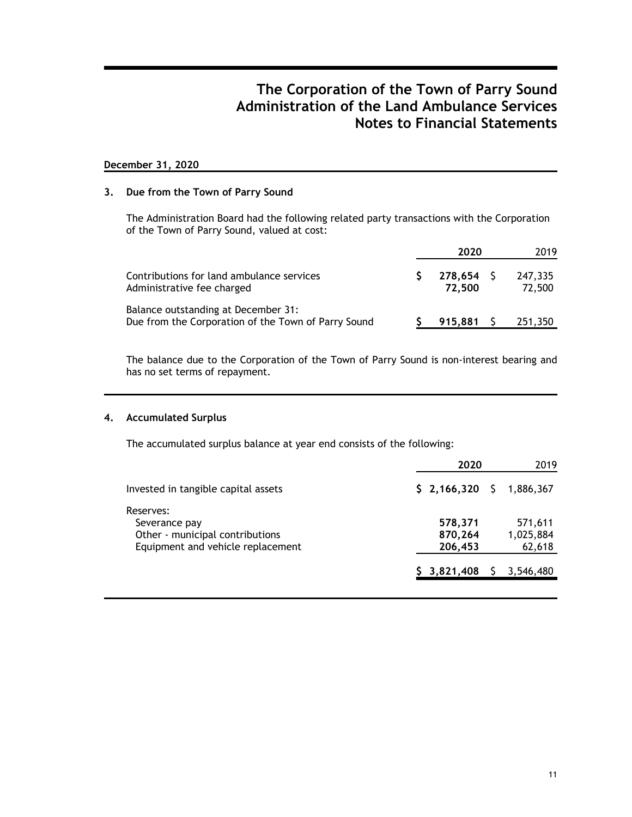### **December 31, 2020**

## **3. Due from the Town of Parry Sound**

The Administration Board had the following related party transactions with the Corporation of the Town of Parry Sound, valued at cost:

|                                                                                            |  | 2020                   | 2019              |  |  |
|--------------------------------------------------------------------------------------------|--|------------------------|-------------------|--|--|
| Contributions for land ambulance services<br>Administrative fee charged                    |  | $278,654$ \$<br>72,500 | 247,335<br>72,500 |  |  |
| Balance outstanding at December 31:<br>Due from the Corporation of the Town of Parry Sound |  | $915,881$ \$           | 251,350           |  |  |
|                                                                                            |  |                        |                   |  |  |

The balance due to the Corporation of the Town of Parry Sound is non-interest bearing and has no set terms of repayment.

#### **4. Accumulated Surplus**

The accumulated surplus balance at year end consists of the following:

|                                                                                                    | 2020                          | 2019                           |  |
|----------------------------------------------------------------------------------------------------|-------------------------------|--------------------------------|--|
| Invested in tangible capital assets                                                                | $$2,166,320$$ $$1,886,367$    |                                |  |
| Reserves:<br>Severance pay<br>Other - municipal contributions<br>Equipment and vehicle replacement | 578,371<br>870,264<br>206,453 | 571,611<br>1,025,884<br>62,618 |  |
|                                                                                                    | \$3,821,408                   | 3,546,480                      |  |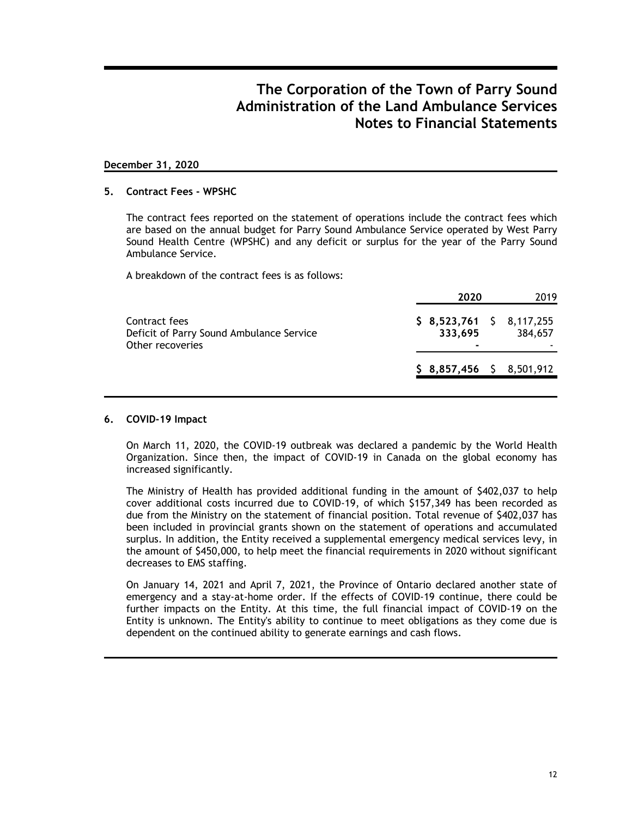#### **December 31, 2020**

### **5. Contract Fees - WPSHC**

The contract fees reported on the statement of operations include the contract fees which are based on the annual budget for Parry Sound Ambulance Service operated by West Parry Sound Health Centre (WPSHC) and any deficit or surplus for the year of the Parry Sound Ambulance Service.

A breakdown of the contract fees is as follows:

|                                                                               |                               | 2020                                |  |  |  |
|-------------------------------------------------------------------------------|-------------------------------|-------------------------------------|--|--|--|
| Contract fees<br>Deficit of Parry Sound Ambulance Service<br>Other recoveries |                               | $$8,523,761 \$8,117,255$<br>333,695 |  |  |  |
|                                                                               | $$8,857,456 \quad $8,501,912$ |                                     |  |  |  |

#### **6. COVID-19 Impact**

On March 11, 2020, the COVID-19 outbreak was declared a pandemic by the World Health Organization. Since then, the impact of COVID-19 in Canada on the global economy has increased significantly.

The Ministry of Health has provided additional funding in the amount of \$402,037 to help cover additional costs incurred due to COVID-19, of which \$157,349 has been recorded as due from the Ministry on the statement of financial position. Total revenue of \$402,037 has been included in provincial grants shown on the statement of operations and accumulated surplus. In addition, the Entity received a supplemental emergency medical services levy, in the amount of \$450,000, to help meet the financial requirements in 2020 without significant decreases to EMS staffing.

On January 14, 2021 and April 7, 2021, the Province of Ontario declared another state of emergency and a stay-at-home order. If the effects of COVID-19 continue, there could be further impacts on the Entity. At this time, the full financial impact of COVID-19 on the Entity is unknown. The Entity's ability to continue to meet obligations as they come due is dependent on the continued ability to generate earnings and cash flows.